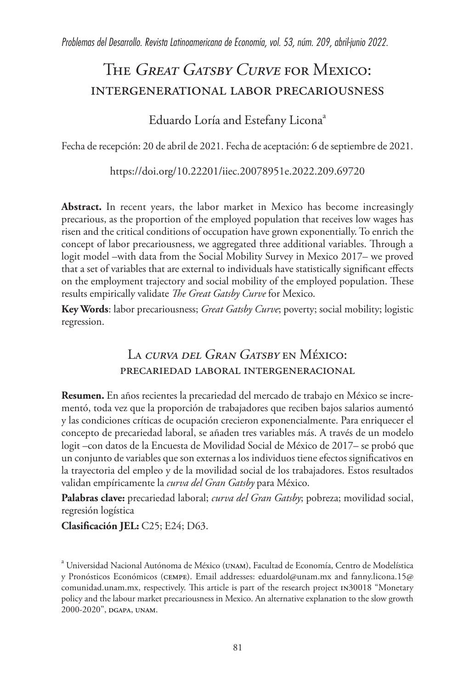# THE GREAT GATSBY CURVE FOR MEXICO: intergenerational labor precariousness

# Eduardo Loría and Estefany Licona<sup>a</sup>

Fecha de recepción: 20 de abril de 2021. Fecha de aceptación: 6 de septiembre de 2021.

https://doi.org/10.22201/iiec.20078951e.2022.209.69720

**Abstract.** In recent years, the labor market in Mexico has become increasingly precarious, as the proportion of the employed population that receives low wages has risen and the critical conditions of occupation have grown exponentially. To enrich the concept of labor precariousness, we aggregated three additional variables. Through a logit model –with data from the Social Mobility Survey in Mexico 2017– we proved that a set of variables that are external to individuals have statistically significant effects on the employment trajectory and social mobility of the employed population. These results empirically validate *The Great Gatsby Curve* for Mexico.

**Key Words**: labor precariousness; *Great Gatsby Curve*; poverty; social mobility; logistic regression.

# LA CURVA DEL GRAN GATSBY EN MÉXICO: precariedad laboral intergeneracional

**Resumen.** En años recientes la precariedad del mercado de trabajo en México se incrementó, toda vez que la proporción de trabajadores que reciben bajos salarios aumentó y las condiciones críticas de ocupación crecieron exponencialmente. Para enriquecer el concepto de precariedad laboral, se añaden tres variables más. A través de un modelo logit –con datos de la Encuesta de Movilidad Social de México de 2017– se probó que un conjunto de variables que son externas a los individuos tiene efectos significativos en la trayectoria del empleo y de la movilidad social de los trabajadores. Estos resultados validan empíricamente la *curva del Gran Gatsby* para México.

**Palabras clave:** precariedad laboral; *curva del Gran Gatsby*; pobreza; movilidad social, regresión logística

**Clasificación JEL:** C25; E24; D63.

<sup>&</sup>lt;sup>a</sup> Universidad Nacional Autónoma de México (UNAM), Facultad de Economía, Centro de Modelística y Pronósticos Económicos (CEMPE). Email addresses: eduardol@unam.mx and fanny.licona.15@ comunidad.unam.mx, respectively. This article is part of the research project IN30018 "Monetary policy and the labour market precariousness in Mexico. An alternative explanation to the slow growth 2000-2020", DGAPA, UNAM.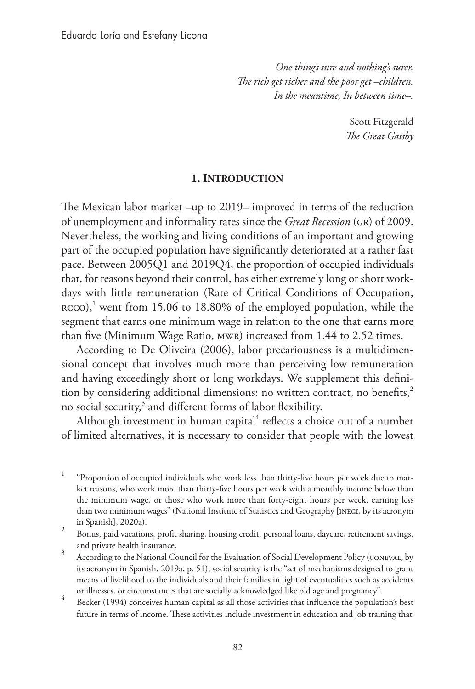*One thing's sure and nothing's surer. The rich get richer and the poor get –children. In the meantime, In between time–.*

> Scott Fitzgerald *The Great Gatsby*

#### **1. Introduction**

The Mexican labor market –up to 2019– improved in terms of the reduction of unemployment and informality rates since the *Great Recession* (GR) of 2009. Nevertheless, the working and living conditions of an important and growing part of the occupied population have significantly deteriorated at a rather fast pace. Between 2005Q1 and 2019Q4, the proportion of occupied individuals that, for reasons beyond their control, has either extremely long or short workdays with little remuneration (Rate of Critical Conditions of Occupation, RCCO),<sup>1</sup> went from 15.06 to 18.80% of the employed population, while the segment that earns one minimum wage in relation to the one that earns more than five (Minimum Wage Ratio, MWR) increased from 1.44 to 2.52 times.

According to De Oliveira (2006), labor precariousness is a multidimensional concept that involves much more than perceiving low remuneration and having exceedingly short or long workdays. We supplement this definition by considering additional dimensions: no written contract, no benefits,<sup>2</sup> no social security, $3$  and different forms of labor flexibility.

Although investment in human capital<sup>4</sup> reflects a choice out of a number of limited alternatives, it is necessary to consider that people with the lowest

 $1$  "Proportion of occupied individuals who work less than thirty-five hours per week due to market reasons, who work more than thirty-five hours per week with a monthly income below than the minimum wage, or those who work more than forty-eight hours per week, earning less than two minimum wages" (National Institute of Statistics and Geography [INEGI, by its acronym in Spanish], 2020a). 2 Bonus, paid vacations, profit sharing, housing credit, personal loans, daycare, retirement savings,

and private health insurance.<br><sup>3</sup> According to the National Council for the Evaluation of Social Development Policy (CONEVAL, by

its acronym in Spanish, 2019a, p. 51), social security is the "set of mechanisms designed to grant means of livelihood to the individuals and their families in light of eventualities such as accidents

or illnesses, or circumstances that are socially acknowledged like old age and pregnancy". <sup>4</sup> Becker (1994) conceives human capital as all those activities that influence the population's best future in terms of income. These activities include investment in education and job training that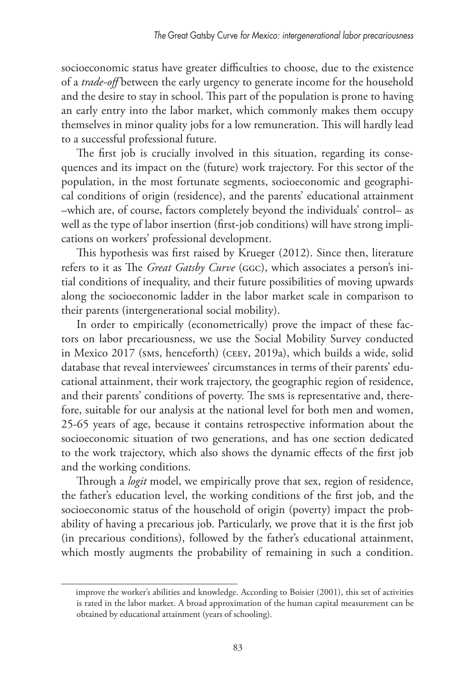socioeconomic status have greater difficulties to choose, due to the existence of a *trade-off* between the early urgency to generate income for the household and the desire to stay in school. This part of the population is prone to having an early entry into the labor market, which commonly makes them occupy themselves in minor quality jobs for a low remuneration. This will hardly lead to a successful professional future.

The first job is crucially involved in this situation, regarding its consequences and its impact on the (future) work trajectory. For this sector of the population, in the most fortunate segments, socioeconomic and geographical conditions of origin (residence), and the parents' educational attainment –which are, of course, factors completely beyond the individuals' control– as well as the type of labor insertion (first-job conditions) will have strong implications on workers' professional development.

This hypothesis was first raised by Krueger (2012). Since then, literature refers to it as The *Great Gatsby Curve* (GGC), which associates a person's initial conditions of inequality, and their future possibilities of moving upwards along the socioeconomic ladder in the labor market scale in comparison to their parents (intergenerational social mobility).

In order to empirically (econometrically) prove the impact of these factors on labor precariousness, we use the Social Mobility Survey conducted in Mexico 2017 (SMS, henceforth) (CEEY, 2019a), which builds a wide, solid database that reveal interviewees' circumstances in terms of their parents' educational attainment, their work trajectory, the geographic region of residence, and their parents' conditions of poverty. The SMS is representative and, therefore, suitable for our analysis at the national level for both men and women, 25-65 years of age, because it contains retrospective information about the socioeconomic situation of two generations, and has one section dedicated to the work trajectory, which also shows the dynamic effects of the first job and the working conditions.

Through a *logit* model, we empirically prove that sex, region of residence, the father's education level, the working conditions of the first job, and the socioeconomic status of the household of origin (poverty) impact the probability of having a precarious job. Particularly, we prove that it is the first job (in precarious conditions), followed by the father's educational attainment, which mostly augments the probability of remaining in such a condition.

improve the worker's abilities and knowledge. According to Boisier (2001), this set of activities is rated in the labor market. A broad approximation of the human capital measurement can be obtained by educational attainment (years of schooling).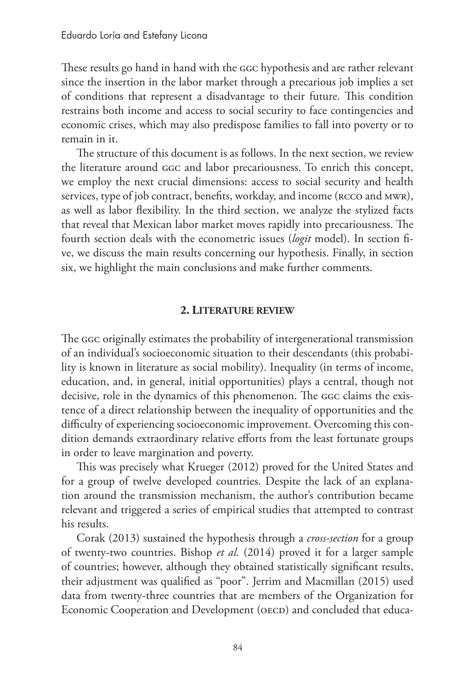These results go hand in hand with the GGC hypothesis and are rather relevant since the insertion in the labor market through a precarious job implies a set of conditions that represent a disadvantage to their future. This condition restrains both income and access to social security to face contingencies and economic crises, which may also predispose families to fall into poverty or to remain in it.

The structure of this document is as follows. In the next section, we review the literature around GGC and labor precariousness. To enrich this concept, we employ the next crucial dimensions: access to social security and health services, type of job contract, benefits, workday, and income (RCCO and MWR), as well as labor flexibility. In the third section, we analyze the stylized facts that reveal that Mexican labor market moves rapidly into precariousness. The fourth section deals with the econometric issues (*logit* model). In section five, we discuss the main results concerning our hypothesis. Finally, in section six, we highlight the main conclusions and make further comments.

#### **2. Literature review**

The GGC originally estimates the probability of intergenerational transmission of an individual's socioeconomic situation to their descendants (this probability is known in literature as social mobility). Inequality (in terms of income, education, and, in general, initial opportunities) plays a central, though not decisive, role in the dynamics of this phenomenon. The GGC claims the existence of a direct relationship between the inequality of opportunities and the difficulty of experiencing socioeconomic improvement. Overcoming this condition demands extraordinary relative efforts from the least fortunate groups in order to leave margination and poverty.

This was precisely what Krueger (2012) proved for the United States and for a group of twelve developed countries. Despite the lack of an explanation around the transmission mechanism, the author's contribution became relevant and triggered a series of empirical studies that attempted to contrast his results.

Corak (2013) sustained the hypothesis through a *cross-section* for a group of twenty-two countries. Bishop *et al.* (2014) proved it for a larger sample of countries; however, although they obtained statistically significant results, their adjustment was qualified as "poor". Jerrim and Macmillan (2015) used data from twenty-three countries that are members of the Organization for Economic Cooperation and Development (OECD) and concluded that educa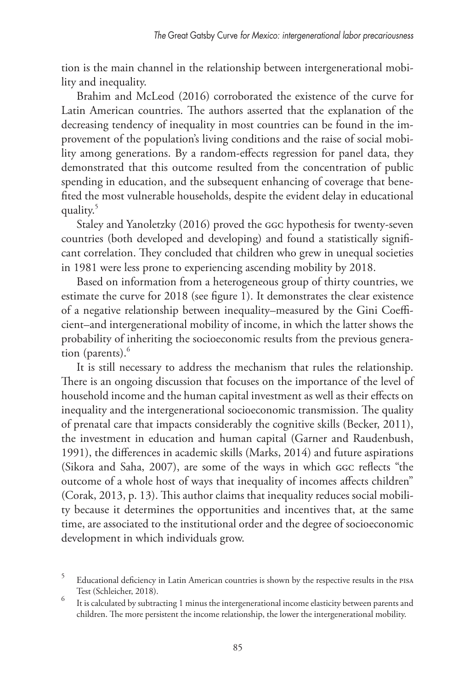tion is the main channel in the relationship between intergenerational mobility and inequality.

Brahim and McLeod (2016) corroborated the existence of the curve for Latin American countries. The authors asserted that the explanation of the decreasing tendency of inequality in most countries can be found in the improvement of the population's living conditions and the raise of social mobility among generations. By a random-effects regression for panel data, they demonstrated that this outcome resulted from the concentration of public spending in education, and the subsequent enhancing of coverage that benefited the most vulnerable households, despite the evident delay in educational quality.5

Staley and Yanoletzky (2016) proved the GGC hypothesis for twenty-seven countries (both developed and developing) and found a statistically significant correlation. They concluded that children who grew in unequal societies in 1981 were less prone to experiencing ascending mobility by 2018.

Based on information from a heterogeneous group of thirty countries, we estimate the curve for 2018 (see figure 1). It demonstrates the clear existence of a negative relationship between inequality–measured by the Gini Coefficient–and intergenerational mobility of income, in which the latter shows the probability of inheriting the socioeconomic results from the previous generation (parents).<sup>6</sup>

It is still necessary to address the mechanism that rules the relationship. There is an ongoing discussion that focuses on the importance of the level of household income and the human capital investment as well as their effects on inequality and the intergenerational socioeconomic transmission. The quality of prenatal care that impacts considerably the cognitive skills (Becker, 2011), the investment in education and human capital (Garner and Raudenbush, 1991), the differences in academic skills (Marks, 2014) and future aspirations (Sikora and Saha, 2007), are some of the ways in which GGC reflects "the outcome of a whole host of ways that inequality of incomes affects children" (Corak, 2013, p. 13). This author claims that inequality reduces social mobility because it determines the opportunities and incentives that, at the same time, are associated to the institutional order and the degree of socioeconomic development in which individuals grow.

<sup>5</sup> Educational deficiency in Latin American countries is shown by the respective results in the PISA Test (Schleicher, 2018).

<sup>6</sup> It is calculated by subtracting 1 minus the intergenerational income elasticity between parents and children. The more persistent the income relationship, the lower the intergenerational mobility.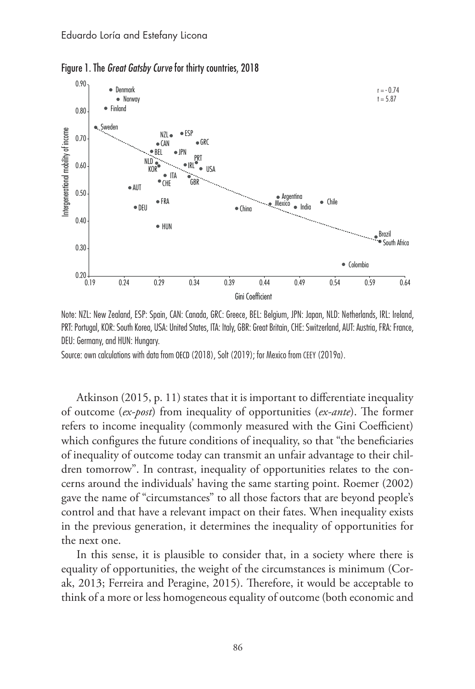

Figure 1. The *Great Gatsby Curve* for thirty countries, 2018



Source: own calculations with data from OECD (2018), Solt (2019); for Mexico from CEEY (2019a).

Atkinson (2015, p. 11) states that it is important to differentiate inequality of outcome (*ex-post*) from inequality of opportunities (*ex-ante*). The former refers to income inequality (commonly measured with the Gini Coefficient) which configures the future conditions of inequality, so that "the beneficiaries of inequality of outcome today can transmit an unfair advantage to their children tomorrow". In contrast, inequality of opportunities relates to the concerns around the individuals' having the same starting point. Roemer (2002) gave the name of "circumstances" to all those factors that are beyond people's control and that have a relevant impact on their fates. When inequality exists in the previous generation, it determines the inequality of opportunities for the next one.

In this sense, it is plausible to consider that, in a society where there is equality of opportunities, the weight of the circumstances is minimum (Corak, 2013; Ferreira and Peragine, 2015). Therefore, it would be acceptable to think of a more or less homogeneous equality of outcome (both economic and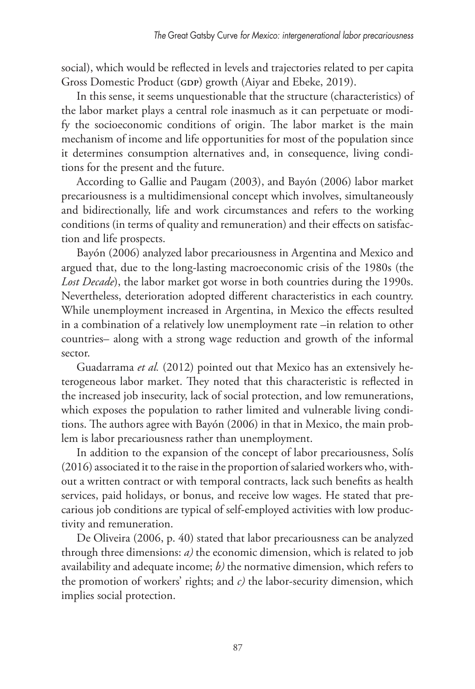social), which would be reflected in levels and trajectories related to per capita Gross Domestic Product (GDP) growth (Aiyar and Ebeke, 2019).

In this sense, it seems unquestionable that the structure (characteristics) of the labor market plays a central role inasmuch as it can perpetuate or modify the socioeconomic conditions of origin. The labor market is the main mechanism of income and life opportunities for most of the population since it determines consumption alternatives and, in consequence, living conditions for the present and the future.

According to Gallie and Paugam (2003), and Bayón (2006) labor market precariousness is a multidimensional concept which involves, simultaneously and bidirectionally, life and work circumstances and refers to the working conditions (in terms of quality and remuneration) and their effects on satisfaction and life prospects.

Bayón (2006) analyzed labor precariousness in Argentina and Mexico and argued that, due to the long-lasting macroeconomic crisis of the 1980s (the *Lost Decade*), the labor market got worse in both countries during the 1990s. Nevertheless, deterioration adopted different characteristics in each country. While unemployment increased in Argentina, in Mexico the effects resulted in a combination of a relatively low unemployment rate –in relation to other countries– along with a strong wage reduction and growth of the informal sector.

Guadarrama *et al.* (2012) pointed out that Mexico has an extensively heterogeneous labor market. They noted that this characteristic is reflected in the increased job insecurity, lack of social protection, and low remunerations, which exposes the population to rather limited and vulnerable living conditions. The authors agree with Bayón (2006) in that in Mexico, the main problem is labor precariousness rather than unemployment.

In addition to the expansion of the concept of labor precariousness, Solís (2016) associated it to the raise in the proportion of salaried workers who, without a written contract or with temporal contracts, lack such benefits as health services, paid holidays, or bonus, and receive low wages. He stated that precarious job conditions are typical of self-employed activities with low productivity and remuneration.

De Oliveira (2006, p. 40) stated that labor precariousness can be analyzed through three dimensions: *a)* the economic dimension, which is related to job availability and adequate income; *b)* the normative dimension, which refers to the promotion of workers' rights; and *c)* the labor-security dimension, which implies social protection.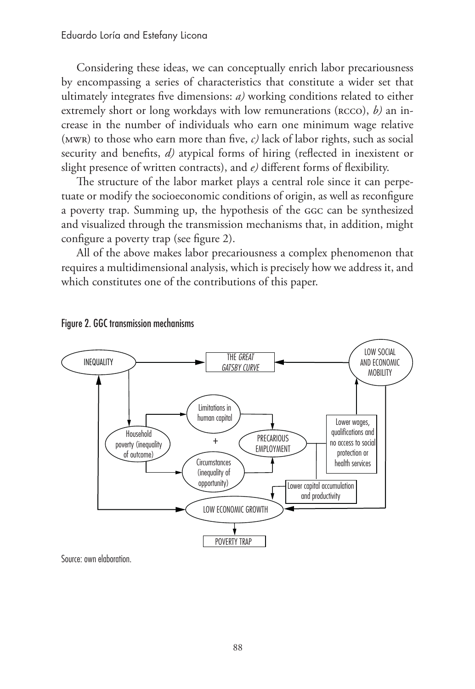Considering these ideas, we can conceptually enrich labor precariousness by encompassing a series of characteristics that constitute a wider set that ultimately integrates five dimensions: *a)* working conditions related to either extremely short or long workdays with low remunerations (RCCO), *b*) an increase in the number of individuals who earn one minimum wage relative (MWR) to those who earn more than five, *c)* lack of labor rights, such as social security and benefits, *d*) atypical forms of hiring (reflected in inexistent or slight presence of written contracts), and *e)* different forms of flexibility.

The structure of the labor market plays a central role since it can perpetuate or modify the socioeconomic conditions of origin, as well as reconfigure a poverty trap. Summing up, the hypothesis of the GGC can be synthesized and visualized through the transmission mechanisms that, in addition, might configure a poverty trap (see figure 2).

All of the above makes labor precariousness a complex phenomenon that requires a multidimensional analysis, which is precisely how we address it, and which constitutes one of the contributions of this paper.





Source: own elaboration.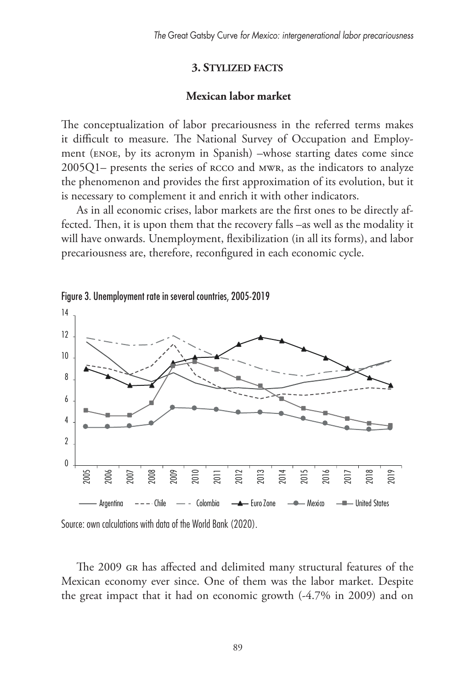#### **3. Stylized facts**

#### **Mexican labor market**

The conceptualization of labor precariousness in the referred terms makes it difficult to measure. The National Survey of Occupation and Employment (ENOE, by its acronym in Spanish) –whose starting dates come since 2005Q1– presents the series of RCCO and MWR, as the indicators to analyze the phenomenon and provides the first approximation of its evolution, but it is necessary to complement it and enrich it with other indicators.

As in all economic crises, labor markets are the first ones to be directly affected. Then, it is upon them that the recovery falls –as well as the modality it will have onwards. Unemployment, flexibilization (in all its forms), and labor precariousness are, therefore, reconfigured in each economic cycle.





The 2009 GR has affected and delimited many structural features of the Mexican economy ever since. One of them was the labor market. Despite the great impact that it had on economic growth (-4.7% in 2009) and on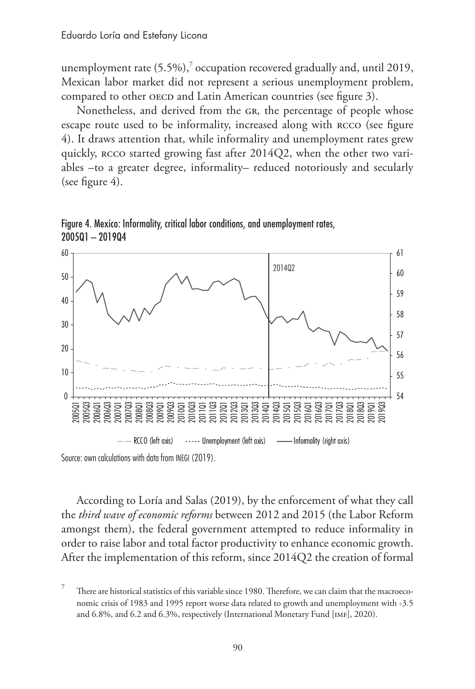unemployment rate  $(5.5\%)$ , occupation recovered gradually and, until 2019, Mexican labor market did not represent a serious unemployment problem, compared to other OECD and Latin American countries (see figure 3).

Nonetheless, and derived from the GR*,* the percentage of people whose escape route used to be informality, increased along with RCCO (see figure 4). It draws attention that, while informality and unemployment rates grew quickly, RCCO started growing fast after 2014Q2, when the other two variables –to a greater degree, informality– reduced notoriously and secularly (see figure 4).



Figure 4. Mexico: Informality, critical labor conditions, and unemployment rates, 2005Q1 – 2019Q4

Source: own calculations with data from INEGI (2019).

According to Loría and Salas (2019), by the enforcement of what they call the *third wave of economic reforms* between 2012 and 2015 (the Labor Reform amongst them), the federal government attempted to reduce informality in order to raise labor and total factor productivity to enhance economic growth. After the implementation of this reform, since 2014Q2 the creation of formal

There are historical statistics of this variable since 1980. Therefore, we can claim that the macroeconomic crisis of 1983 and 1995 report worse data related to growth and unemployment with -3.5 and 6.8%, and 6.2 and 6.3%, respectively (International Monetary Fund [IMF], 2020).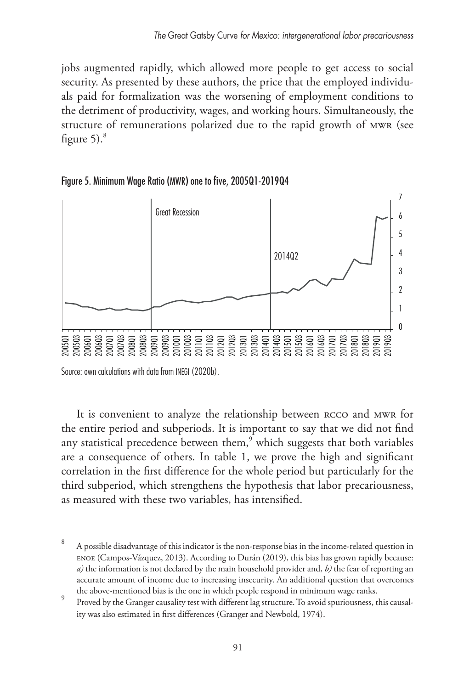jobs augmented rapidly, which allowed more people to get access to social security. As presented by these authors, the price that the employed individuals paid for formalization was the worsening of employment conditions to the detriment of productivity, wages, and working hours. Simultaneously, the structure of remunerations polarized due to the rapid growth of MWR (see figure  $5$ ).<sup>8</sup>



### Figure 5. Minimum Wage Ratio (MWR) one to five, 2005Q1-2019Q4

Source: own calculations with data from INEGI (2020b).

It is convenient to analyze the relationship between RCCO and MWR for the entire period and subperiods. It is important to say that we did not find any statistical precedence between them, $^9$  which suggests that both variables are a consequence of others. In table 1, we prove the high and significant correlation in the first difference for the whole period but particularly for the third subperiod, which strengthens the hypothesis that labor precariousness, as measured with these two variables, has intensified.

<sup>8</sup> A possible disadvantage of this indicator is the non-response bias in the income-related question in ENOE (Campos-Vázquez, 2013). According to Durán (2019), this bias has grown rapidly because: *a)* the information is not declared by the main household provider and, *b)* the fear of reporting an accurate amount of income due to increasing insecurity. An additional question that overcomes

the above-mentioned bias is the one in which people respond in minimum wage ranks. <sup>9</sup> Proved by the Granger causality test with different lag structure. To avoid spuriousness, this causality was also estimated in first differences (Granger and Newbold, 1974).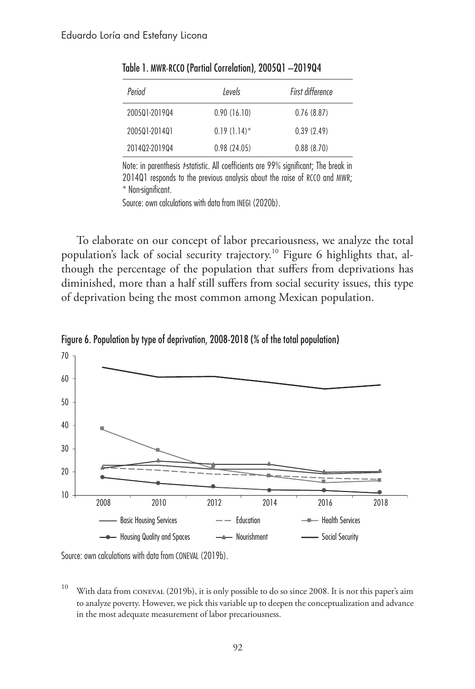| Period        | l evels        | First difference |
|---------------|----------------|------------------|
| 200501-201904 | 0.90(16.10)    | 0.76(8.87)       |
| 200501-201401 | $0.19(1.14)$ * | 0.39(2.49)       |
| 201402-201904 | 0.98(24.05)    | 0.88(8.70)       |

Table 1. MWR-RCCO (Partial Correlation), 2005Q1 –2019Q4

Note: in parenthesis *t*-statistic. All coefficients are 99% significant; The break in 2014Q1 responds to the previous analysis about the raise of RCCO and MWR; \* Non-significant.

Source: own calculations with data from INEGI (2020b).

To elaborate on our concept of labor precariousness, we analyze the total population's lack of social security trajectory.<sup>10</sup> Figure 6 highlights that, although the percentage of the population that suffers from deprivations has diminished, more than a half still suffers from social security issues, this type of deprivation being the most common among Mexican population.



Figure 6. Population by type of deprivation, 2008-2018 (% of the total population)

Source: own calculations with data from CONEVAL (2019b).

<sup>10</sup> With data from CONEVAL (2019b), it is only possible to do so since 2008. It is not this paper's aim to analyze poverty. However, we pick this variable up to deepen the conceptualization and advance in the most adequate measurement of labor precariousness.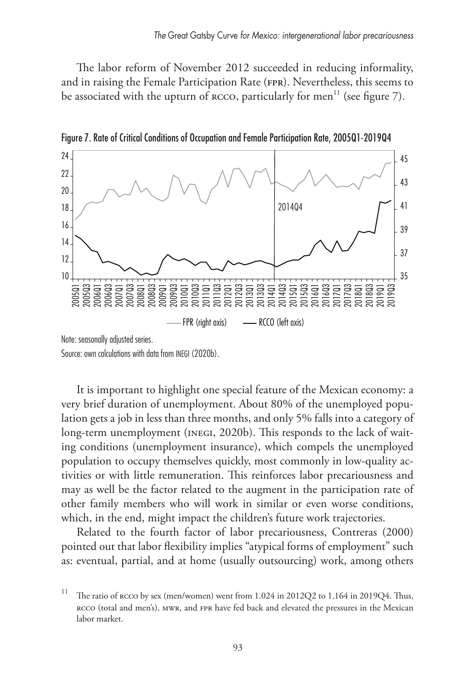The labor reform of November 2012 succeeded in reducing informality, and in raising the Female Participation Rate (FPR). Nevertheless, this seems to be associated with the upturn of  $RCCO$ , particularly for men<sup>11</sup> (see figure 7).



Figure 7. Rate of Critical Conditions of Occupation and Female Participation Rate, 2005Q1-2019Q4

Source: own calculations with data from INEGI (2020b).

It is important to highlight one special feature of the Mexican economy: a very brief duration of unemployment. About 80% of the unemployed population gets a job in less than three months, and only 5% falls into a category of long-term unemployment (INEGI, 2020b). This responds to the lack of waiting conditions (unemployment insurance), which compels the unemployed population to occupy themselves quickly, most commonly in low-quality activities or with little remuneration. This reinforces labor precariousness and may as well be the factor related to the augment in the participation rate of other family members who will work in similar or even worse conditions, which, in the end, might impact the children's future work trajectories.

Related to the fourth factor of labor precariousness, Contreras (2000) pointed out that labor flexibility implies "atypical forms of employment" such as: eventual, partial, and at home (usually outsourcing) work, among others

<sup>&</sup>lt;sup>11</sup> The ratio of RCCO by sex (men/women) went from  $1.024$  in  $2012Q2$  to  $1.164$  in  $2019Q4$ . Thus, RCCO (total and men's), MWR, and FPR have fed back and elevated the pressures in the Mexican labor market.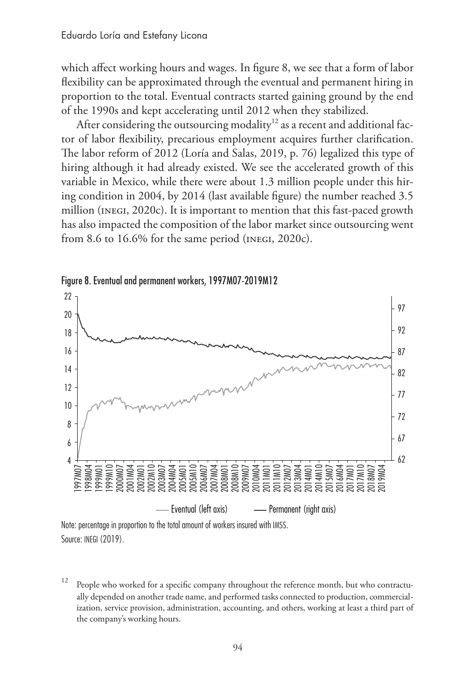which affect working hours and wages. In figure 8, we see that a form of labor flexibility can be approximated through the eventual and permanent hiring in proportion to the total. Eventual contracts started gaining ground by the end of the 1990s and kept accelerating until 2012 when they stabilized.

After considering the outsourcing modality<sup>12</sup> as a recent and additional factor of labor flexibility, precarious employment acquires further clarification. The labor reform of 2012 (Loría and Salas, 2019, p. 76) legalized this type of hiring although it had already existed. We see the accelerated growth of this variable in Mexico, while there were about 1.3 million people under this hiring condition in 2004, by 2014 (last available figure) the number reached 3.5 million (INEGI, 2020c). It is important to mention that this fast-paced growth has also impacted the composition of the labor market since outsourcing went from 8.6 to 16.6% for the same period (INEGI, 2020c).





Note: percentage in proportion to the total amount of workers insured with IMSS. Source: INEGI (2019).

 $12$  People who worked for a specific company throughout the reference month, but who contractually depended on another trade name, and performed tasks connected to production, commercialization, service provision, administration, accounting, and others, working at least a third part of the company's working hours.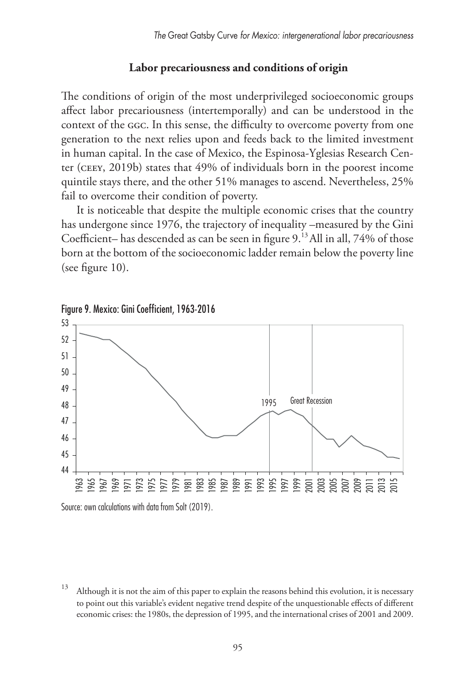#### **Labor precariousness and conditions of origin**

The conditions of origin of the most underprivileged socioeconomic groups affect labor precariousness (intertemporally) and can be understood in the context of the GGC. In this sense, the difficulty to overcome poverty from one generation to the next relies upon and feeds back to the limited investment in human capital. In the case of Mexico, the Espinosa-Yglesias Research Center (CEEY, 2019b) states that 49% of individuals born in the poorest income quintile stays there, and the other 51% manages to ascend. Nevertheless, 25% fail to overcome their condition of poverty.

It is noticeable that despite the multiple economic crises that the country has undergone since 1976, the trajectory of inequality –measured by the Gini Coefficient– has descended as can be seen in figure 9.<sup>13</sup> All in all, 74% of those born at the bottom of the socioeconomic ladder remain below the poverty line (see figure 10).



Figure 9. Mexico: Gini Coefficient, 1963-2016

Source: own calculations with data from Solt (2019).

 $13$  Although it is not the aim of this paper to explain the reasons behind this evolution, it is necessary to point out this variable's evident negative trend despite of the unquestionable effects of different economic crises: the 1980s, the depression of 1995, and the international crises of 2001 and 2009.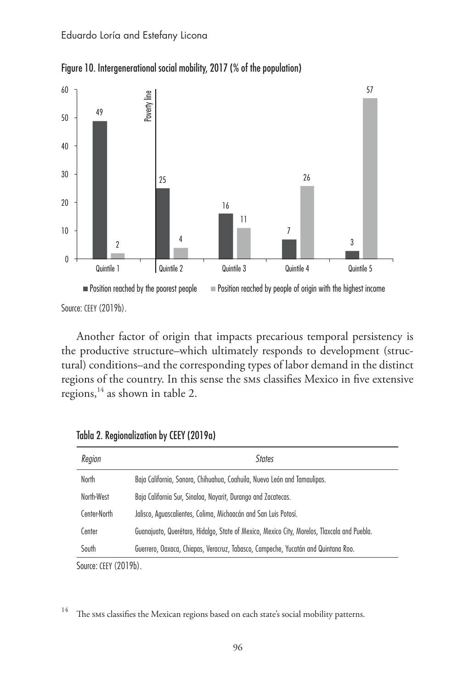

Figure 10. Intergenerational social mobility, 2017 (% of the population)

Source: CEEY (2019b).

Another factor of origin that impacts precarious temporal persistency is the productive structure–which ultimately responds to development (structural) conditions–and the corresponding types of labor demand in the distinct regions of the country. In this sense the SMS classifies Mexico in five extensive regions, $^{14}$  as shown in table 2.

| Region       | <b>States</b>                                                                               |
|--------------|---------------------------------------------------------------------------------------------|
| North        | Baja California, Sonora, Chihuahua, Coahuila, Nuevo León and Tamaulipas.                    |
| North-West   | Baja California Sur, Sinaloa, Nayarit, Durango and Zacatecas.                               |
| Center-North | Jalisco, Aguascalientes, Colima, Michoacán and San Luis Potosí.                             |
| Center       | Guanajuato, Querétaro, Hidalgo, State of Mexico, Mexico City, Morelos, Tlaxcala and Puebla. |
| South        | Guerrero, Oaxaca, Chiapas, Veracruz, Tabasco, Campeche, Yucatán and Quintana Roo.           |

Tabla 2. Regionalization by CEEY (2019a)

Source: CEEY (2019b).

<sup>14</sup> The sms classifies the Mexican regions based on each state's social mobility patterns.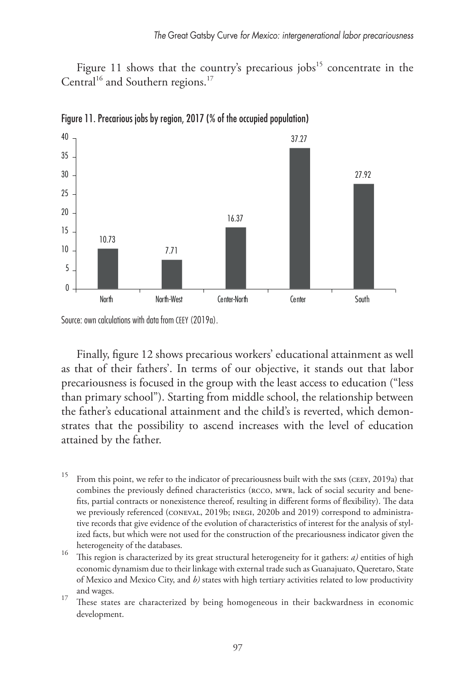Figure 11 shows that the country's precarious jobs $15$  concentrate in the Central<sup>16</sup> and Southern regions.<sup>17</sup>



Figure 11. Precarious jobs by region, 2017 (% of the occupied population)

Finally, figure 12 shows precarious workers' educational attainment as well as that of their fathers'. In terms of our objective, it stands out that labor precariousness is focused in the group with the least access to education ("less than primary school"). Starting from middle school, the relationship between the father's educational attainment and the child's is reverted, which demonstrates that the possibility to ascend increases with the level of education attained by the father.

Source: own calculations with data from CEEY (2019a).

<sup>&</sup>lt;sup>15</sup> From this point, we refer to the indicator of precariousness built with the sms (CEEY, 2019a) that combines the previously defined characteristics (RCCO, MWR, lack of social security and benefits, partial contracts or nonexistence thereof, resulting in different forms of flexibility). The data we previously referenced (CONEVAL, 2019b; INEGI, 2020b and 2019) correspond to administrative records that give evidence of the evolution of characteristics of interest for the analysis of stylized facts, but which were not used for the construction of the precariousness indicator given the

heterogeneity of the databases. <sup>16</sup> This region is characterized by its great structural heterogeneity for it gathers: *a)* entities of high economic dynamism due to their linkage with external trade such as Guanajuato, Queretaro, State of Mexico and Mexico City, and *b)* states with high tertiary activities related to low productivity

and wages.<br><sup>17</sup> These states are characterized by being homogeneous in their backwardness in economic development.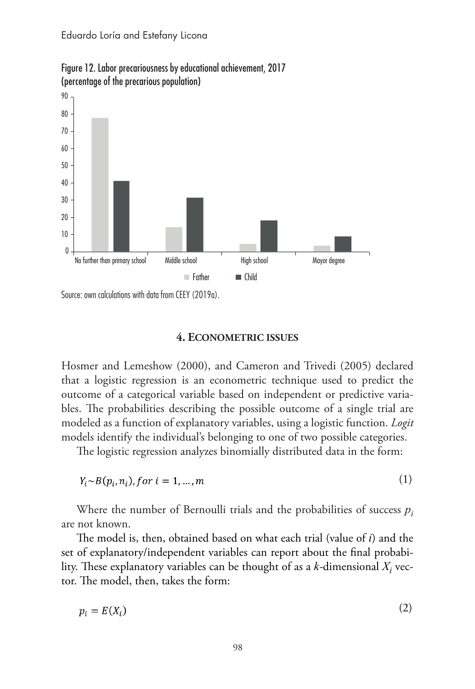

Figure 12. Labor precariousness by educational achievement, 2017 (percentage of the precarious population)

Source: own calculations with data from CEEY (2019a).

#### **4. Econometric issues**

Hosmer and Lemeshow (2000), and Cameron and Trivedi (2005) declared that a logistic regression is an econometric technique used to predict the outcome of a categorical variable based on independent or predictive variables. The probabilities describing the possible outcome of a single trial are modeled as a function of explanatory variables, using a logistic function. *Logit*  models identify the individual's belonging to one of two possible categories.

The logistic regression analyzes binomially distributed data in the form:

$$
Y_i \sim B(p_i, n_i), \text{for } i = 1, \dots, m \tag{1}
$$

Where the number of Bernoulli trials and the probabilities of success *pi* are not known.

The model is, then, obtained based on what each trial (value of *i*) and the set of explanatory/independent variables can report about the final probability. These explanatory variables can be thought of as a  $k$ -dimensional  $X_i$  vector. The model, then, takes the form:

$$
p_i = E(X_i) \tag{2}
$$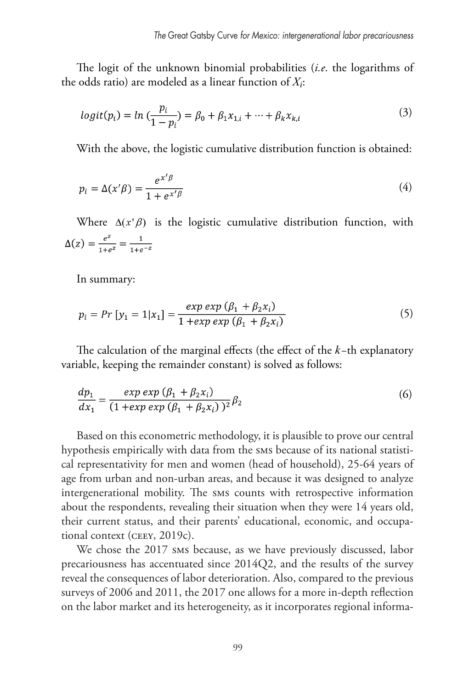The logit of the unknown binomial probabilities (*i.e*. the logarithms of the odds ratio) are modeled as a linear function of *Xi*:

$$
logit(p_i) = ln\left(\frac{p_i}{1 - p_i}\right) = \beta_0 + \beta_1 x_{1,i} + \dots + \beta_k x_{k,i}
$$
\n(3)

With the above, the logistic cumulative distribution function is obtained:

$$
p_i = \Delta(x'\beta) = \frac{e^{x'\beta}}{1 + e^{x'\beta}}
$$
\n<sup>(4)</sup>

Where  $\Delta(x|\beta)$  is the logistic cumulative distribution function, with  $\Delta(z) = \frac{e^z}{1 + e^z} = \frac{1}{1 + e^{-z}}$ 

In summary:

$$
p_i = Pr [y_1 = 1 | x_1] = \frac{exp exp (\beta_1 + \beta_2 x_i)}{1 + exp exp (\beta_1 + \beta_2 x_i)}
$$
(5)

The calculation of the marginal effects (the effect of the *k−*th explanatory variable, keeping the remainder constant) is solved as follows:

$$
\frac{dp_1}{dx_1} = \frac{\exp \exp (\beta_1 + \beta_2 x_i)}{(1 + \exp \exp (\beta_1 + \beta_2 x_i))^2} \beta_2
$$
\n(6)

Based on this econometric methodology, it is plausible to prove our central hypothesis empirically with data from the SMS because of its national statistical representativity for men and women (head of household), 25-64 years of age from urban and non-urban areas, and because it was designed to analyze intergenerational mobility. The SMS counts with retrospective information about the respondents, revealing their situation when they were 14 years old, their current status, and their parents' educational, economic, and occupational context (CEEY, 2019c).

We chose the 2017 sms because, as we have previously discussed, labor precariousness has accentuated since 2014Q2, and the results of the survey reveal the consequences of labor deterioration. Also, compared to the previous surveys of 2006 and 2011, the 2017 one allows for a more in-depth reflection on the labor market and its heterogeneity, as it incorporates regional informa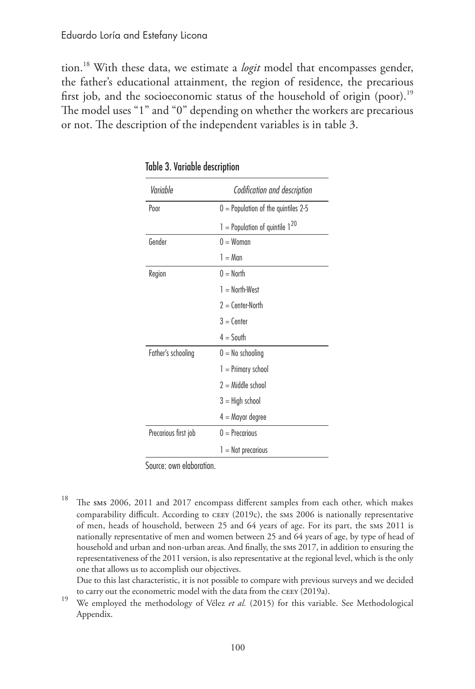tion.18 With these data, we estimate a *logit* model that encompasses gender, the father's educational attainment, the region of residence, the precarious first job, and the socioeconomic status of the household of origin (poor).<sup>19</sup> The model uses "1" and "0" depending on whether the workers are precarious or not. The description of the independent variables is in table 3.

| Variable             | Codification and description          |
|----------------------|---------------------------------------|
| Poor                 | $0 =$ Population of the quintiles 2-5 |
|                      | $1 =$ Population of quintile $1^{20}$ |
| Gender               | $0 = W$ oman                          |
|                      | $l = Man$                             |
| Region               | $0 = \text{North}$                    |
|                      | $1 =$ North-West                      |
|                      | $2 =$ Center-North                    |
|                      | $3 =$ Center                          |
|                      | $4 =$ South                           |
| Father's schooling   | $0 = No$ schooling                    |
|                      | $l = Primary school$                  |
|                      | $2 =$ Middle school                   |
|                      | $3 =$ High school                     |
|                      | $4 =$ Mayor degree                    |
| Precarious first job | $0 =$ Precarious                      |
|                      | $l = Not precarios$                   |

Table 3. Variable description

Source: own elaboration.

<sup>18</sup> The sms 2006, 2011 and 2017 encompass different samples from each other, which makes comparability difficult. According to CEEY (2019c), the SMS 2006 is nationally representative of men, heads of household, between 25 and 64 years of age. For its part, the SMS 2011 is nationally representative of men and women between 25 and 64 years of age, by type of head of household and urban and non-urban areas. And finally, the SMS 2017, in addition to ensuring the representativeness of the 2011 version, is also representative at the regional level, which is the only one that allows us to accomplish our objectives.

Due to this last characteristic, it is not possible to compare with previous surveys and we decided

to carry out the econometric model with the data from the CEEY (2019a). <sup>19</sup> We employed the methodology of Vélez *et al.* (2015) for this variable. See Methodological Appendix.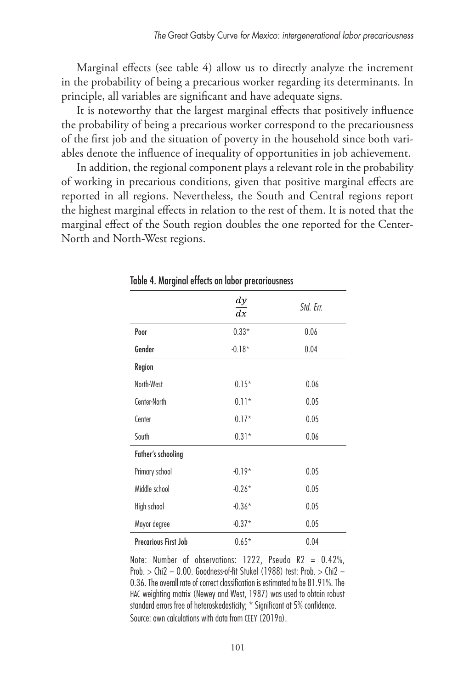Marginal effects (see table 4) allow us to directly analyze the increment in the probability of being a precarious worker regarding its determinants. In principle, all variables are significant and have adequate signs.

It is noteworthy that the largest marginal effects that positively influence the probability of being a precarious worker correspond to the precariousness of the first job and the situation of poverty in the household since both variables denote the influence of inequality of opportunities in job achievement.

In addition, the regional component plays a relevant role in the probability of working in precarious conditions, given that positive marginal effects are reported in all regions. Nevertheless, the South and Central regions report the highest marginal effects in relation to the rest of them. It is noted that the marginal effect of the South region doubles the one reported for the Center-North and North-West regions.

|                      | $\frac{dy}{x}$<br>dx | Std. Err. |
|----------------------|----------------------|-----------|
| Poor                 | $0.33*$              | 0.06      |
| Gender               | $-0.18*$             | 0.04      |
| Region               |                      |           |
| North-West           | $0.15*$              | 0.06      |
| Center-North         | $0.11*$              | 0.05      |
| Center               | $0.17*$              | 0.05      |
| South                | $0.31*$              | 0.06      |
| Father's schooling   |                      |           |
| Primary school       | $-0.19*$             | 0.05      |
| Middle school        | $-0.26*$             | 0.05      |
| High school          | $-0.36*$             | 0.05      |
| Mayor degree         | $-0.37*$             | 0.05      |
| Precarious First Job | $0.65*$              | 0.04      |

Table 4. Marginal effects on labor precariousness

Note: Number of observations: 1222, Pseudo R2 = 0.42%, Prob.  $>$  Chi2 = 0.00. Goodness-of-fit Stukel (1988) test: Prob.  $>$  Chi2 = 0.36. The overall rate of correct classification is estimated to be 81.91%. The HAC weighting matrix (Newey and West, 1987) was used to obtain robust standard errors free of heteroskedasticity; \* Significant at 5% confidence. Source: own calculations with data from CEEY (2019a).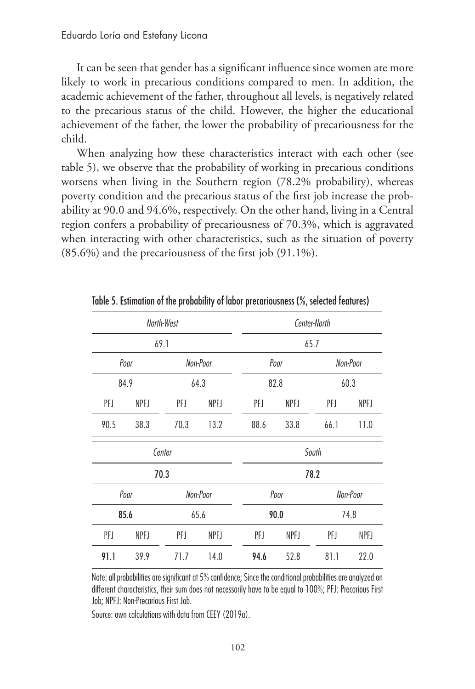It can be seen that gender has a significant influence since women are more likely to work in precarious conditions compared to men. In addition, the academic achievement of the father, throughout all levels, is negatively related to the precarious status of the child. However, the higher the educational achievement of the father, the lower the probability of precariousness for the child.

When analyzing how these characteristics interact with each other (see table 5), we observe that the probability of working in precarious conditions worsens when living in the Southern region (78.2% probability), whereas poverty condition and the precarious status of the first job increase the probability at 90.0 and 94.6%, respectively. On the other hand, living in a Central region confers a probability of precariousness of 70.3%, which is aggravated when interacting with other characteristics, such as the situation of poverty (85.6%) and the precariousness of the first job (91.1%).

| North-West |        |      |          | Center-North     |      |      |          |  |
|------------|--------|------|----------|------------------|------|------|----------|--|
| 69.1       |        |      | 65.7     |                  |      |      |          |  |
|            | Poor   |      | Non-Poor |                  | Poor |      | Non-Poor |  |
|            | 84.9   |      | 64.3     |                  | 82.8 |      | 60.3     |  |
| PFJ        | NPFJ   | PFJ  | NPFJ     | PFJ              | NPFJ |      | NPFJ     |  |
| 90.5       | 38.3   | 70.3 | 13.2     | 88.6             | 33.8 | 66.1 | 11.0     |  |
|            | Center |      |          | South            |      |      |          |  |
|            | 70.3   |      |          | 78.2             |      |      |          |  |
|            | Poor   |      | Non-Poor | Non-Poor<br>Poor |      |      |          |  |
|            | 85.6   |      | 65.6     |                  | 90.0 |      | 74.8     |  |
| PFJ        | NPFJ   | PFJ  | NPFJ     | PFJ              | NPFJ | PFJ  | NPFJ     |  |
| 91.1       | 39.9   | 71.7 | 14.0     | 94.6             | 52.8 | 81.1 | 22.0     |  |

Table 5. Estimation of the probability of labor precariousness (%, selected features)

Note: all probabilities are significant at 5% confidence; Since the conditional probabilities are analyzed on different characteristics, their sum does not necessarily have to be equal to 100%; PFJ: Precarious First Job; NPFJ: Non-Precarious First Job.

Source: own calculations with data from CEEY (2019a).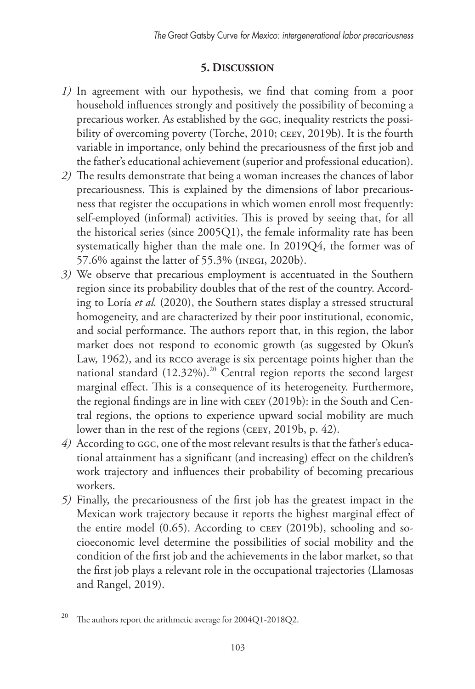## **5. Discussion**

- *1)* In agreement with our hypothesis, we find that coming from a poor household influences strongly and positively the possibility of becoming a precarious worker. As established by the GGC, inequality restricts the possibility of overcoming poverty (Torche, 2010; CEEY, 2019b). It is the fourth variable in importance, only behind the precariousness of the first job and the father's educational achievement (superior and professional education).
- *2)* The results demonstrate that being a woman increases the chances of labor precariousness. This is explained by the dimensions of labor precariousness that register the occupations in which women enroll most frequently: self-employed (informal) activities. This is proved by seeing that, for all the historical series (since 2005Q1), the female informality rate has been systematically higher than the male one. In 2019Q4, the former was of 57.6% against the latter of 55.3% (INEGI, 2020b).
- *3)* We observe that precarious employment is accentuated in the Southern region since its probability doubles that of the rest of the country. According to Loría *et al.* (2020), the Southern states display a stressed structural homogeneity, and are characterized by their poor institutional, economic, and social performance. The authors report that, in this region, the labor market does not respond to economic growth (as suggested by Okun's Law, 1962), and its RCCO average is six percentage points higher than the national standard (12.32%).<sup>20</sup> Central region reports the second largest marginal effect. This is a consequence of its heterogeneity. Furthermore, the regional findings are in line with CEEY (2019b): in the South and Central regions, the options to experience upward social mobility are much lower than in the rest of the regions (CEEY, 2019b, p. 42).
- *4)* According to GGC, one of the most relevant results is that the father's educational attainment has a significant (and increasing) effect on the children's work trajectory and influences their probability of becoming precarious workers.
- *5)* Finally, the precariousness of the first job has the greatest impact in the Mexican work trajectory because it reports the highest marginal effect of the entire model (0.65). According to CEEY (2019b), schooling and socioeconomic level determine the possibilities of social mobility and the condition of the first job and the achievements in the labor market, so that the first job plays a relevant role in the occupational trajectories (Llamosas and Rangel, 2019).

<sup>&</sup>lt;sup>20</sup> The authors report the arithmetic average for 2004O1-2018O2.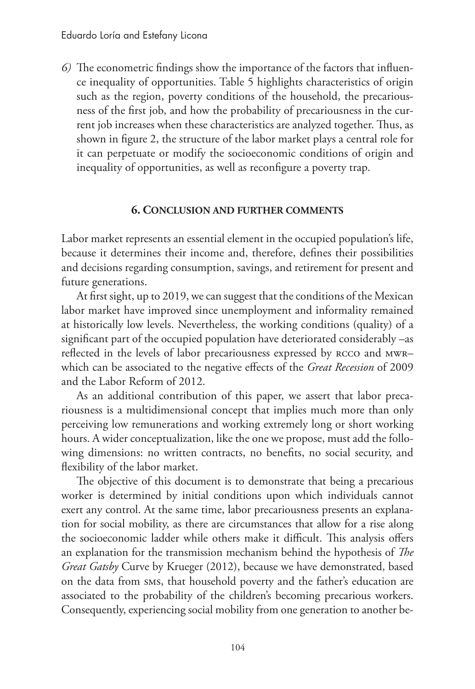*6)* The econometric findings show the importance of the factors that influence inequality of opportunities. Table 5 highlights characteristics of origin such as the region, poverty conditions of the household, the precariousness of the first job, and how the probability of precariousness in the current job increases when these characteristics are analyzed together. Thus, as shown in figure 2, the structure of the labor market plays a central role for it can perpetuate or modify the socioeconomic conditions of origin and inequality of opportunities, as well as reconfigure a poverty trap.

### **6. Conclusion and further comments**

Labor market represents an essential element in the occupied population's life, because it determines their income and, therefore, defines their possibilities and decisions regarding consumption, savings, and retirement for present and future generations.

At first sight, up to 2019, we can suggest that the conditions of the Mexican labor market have improved since unemployment and informality remained at historically low levels. Nevertheless, the working conditions (quality) of a significant part of the occupied population have deteriorated considerably –as reflected in the levels of labor precariousness expressed by RCCO and MWRwhich can be associated to the negative effects of the *Great Recession* of 2009 and the Labor Reform of 2012.

As an additional contribution of this paper, we assert that labor precariousness is a multidimensional concept that implies much more than only perceiving low remunerations and working extremely long or short working hours. A wider conceptualization, like the one we propose, must add the following dimensions: no written contracts, no benefits, no social security, and flexibility of the labor market.

The objective of this document is to demonstrate that being a precarious worker is determined by initial conditions upon which individuals cannot exert any control. At the same time, labor precariousness presents an explanation for social mobility, as there are circumstances that allow for a rise along the socioeconomic ladder while others make it difficult. This analysis offers an explanation for the transmission mechanism behind the hypothesis of *The Great Gatsby* Curve by Krueger (2012), because we have demonstrated, based on the data from SMS, that household poverty and the father's education are associated to the probability of the children's becoming precarious workers. Consequently, experiencing social mobility from one generation to another be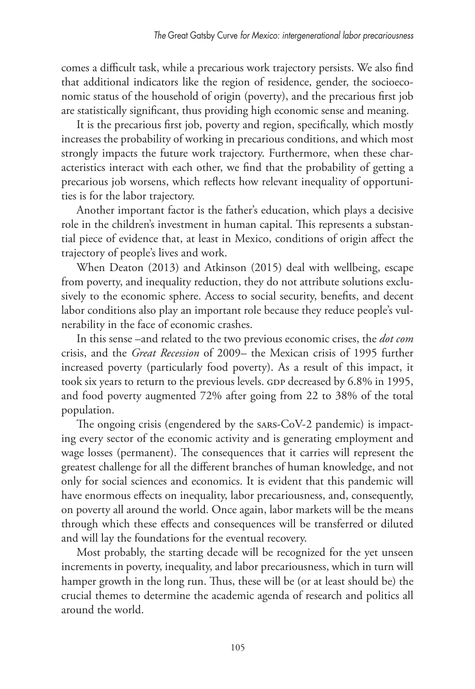comes a difficult task, while a precarious work trajectory persists. We also find that additional indicators like the region of residence, gender, the socioeconomic status of the household of origin (poverty), and the precarious first job are statistically significant, thus providing high economic sense and meaning.

It is the precarious first job, poverty and region, specifically, which mostly increases the probability of working in precarious conditions, and which most strongly impacts the future work trajectory. Furthermore, when these characteristics interact with each other, we find that the probability of getting a precarious job worsens, which reflects how relevant inequality of opportunities is for the labor trajectory.

Another important factor is the father's education, which plays a decisive role in the children's investment in human capital. This represents a substantial piece of evidence that, at least in Mexico, conditions of origin affect the trajectory of people's lives and work.

When Deaton (2013) and Atkinson (2015) deal with wellbeing, escape from poverty, and inequality reduction, they do not attribute solutions exclusively to the economic sphere. Access to social security, benefits, and decent labor conditions also play an important role because they reduce people's vulnerability in the face of economic crashes.

In this sense –and related to the two previous economic crises, the *dot com*  crisis, and the *Great Recession* of 2009– the Mexican crisis of 1995 further increased poverty (particularly food poverty). As a result of this impact, it took six years to return to the previous levels. GDP decreased by 6.8% in 1995, and food poverty augmented 72% after going from 22 to 38% of the total population.

The ongoing crisis (engendered by the SARS-CoV-2 pandemic) is impacting every sector of the economic activity and is generating employment and wage losses (permanent). The consequences that it carries will represent the greatest challenge for all the different branches of human knowledge, and not only for social sciences and economics. It is evident that this pandemic will have enormous effects on inequality, labor precariousness, and, consequently, on poverty all around the world. Once again, labor markets will be the means through which these effects and consequences will be transferred or diluted and will lay the foundations for the eventual recovery.

Most probably, the starting decade will be recognized for the yet unseen increments in poverty, inequality, and labor precariousness, which in turn will hamper growth in the long run. Thus, these will be (or at least should be) the crucial themes to determine the academic agenda of research and politics all around the world.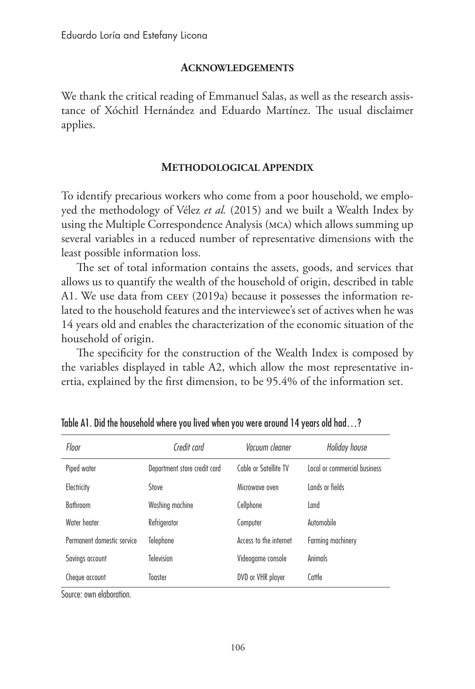#### **Acknowledgements**

We thank the critical reading of Emmanuel Salas, as well as the research assistance of Xóchitl Hernández and Eduardo Martínez. The usual disclaimer applies.

#### **Methodological Appendix**

To identify precarious workers who come from a poor household, we employed the methodology of Vélez *et al.* (2015) and we built a Wealth Index by using the Multiple Correspondence Analysis (MCA) which allows summing up several variables in a reduced number of representative dimensions with the least possible information loss.

The set of total information contains the assets, goods, and services that allows us to quantify the wealth of the household of origin, described in table A1. We use data from CEEY (2019a) because it possesses the information related to the household features and the interviewee's set of actives when he was 14 years old and enables the characterization of the economic situation of the household of origin.

The specificity for the construction of the Wealth Index is composed by the variables displayed in table A2, which allow the most representative inertia, explained by the first dimension, to be 95.4% of the information set.

| Floor                      | Credit card                  | Vacuum cleaner         | Holiday house                |
|----------------------------|------------------------------|------------------------|------------------------------|
| Piped water                | Department store credit card | Cable or Satellite TV  | Local or commercial business |
| Electricity                | Stove                        | Microwave oven         | Lands or fields              |
| <b>Bathroom</b>            | Washing machine              | Cellphone              | Land                         |
| Water heater               | Refrigerator                 | Computer               | Automobile                   |
| Permanent domestic service | Telephone                    | Access to the internet | Farming machinery            |
| Savings account            | Television                   | Videogame console      | Animals                      |
| Cheque account             | Toaster                      | DVD or VHR player      | Cattle                       |

Table A1. Did the household where you lived when you were around 14 years old had…?

Source: own elaboration.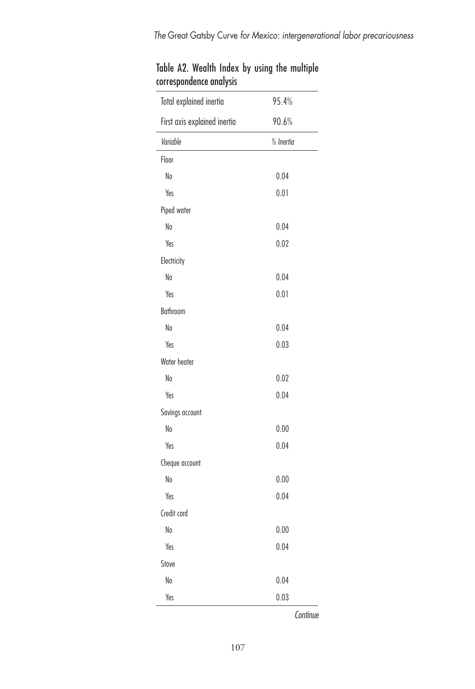| Total explained inertia      | 95.4%     |
|------------------------------|-----------|
| First axis explained inertia | 90.6%     |
| Variable                     | % Inertia |
| Floor                        |           |
| No                           | 0.04      |
| Yes                          | 0.01      |
| Piped water                  |           |
| No                           | 0.04      |
| Yes                          | 0.02      |
| Electricity                  |           |
| No                           | 0.04      |
| Yes                          | 0.01      |
| Bathroom                     |           |
| No                           | 0.04      |
| Yes                          | 0.03      |
| Water heater                 |           |
| No                           | 0.02      |
| Yes                          | 0.04      |
| Savings account              |           |
| No                           | 0.00      |
| Yes                          | 0.04      |
| Cheque account               |           |
| No                           | 0.00      |
| Yes                          | 0.04      |
| Credit card                  |           |
| No                           | 0.00      |
| Yes                          | 0.04      |
| Stove                        |           |
| No                           | 0.04      |
| Yes                          | 0.03      |

|  |                         |  |  | Table A2. Wealth Index by using the multiple |
|--|-------------------------|--|--|----------------------------------------------|
|  | correspondence analysis |  |  |                                              |

*Continue*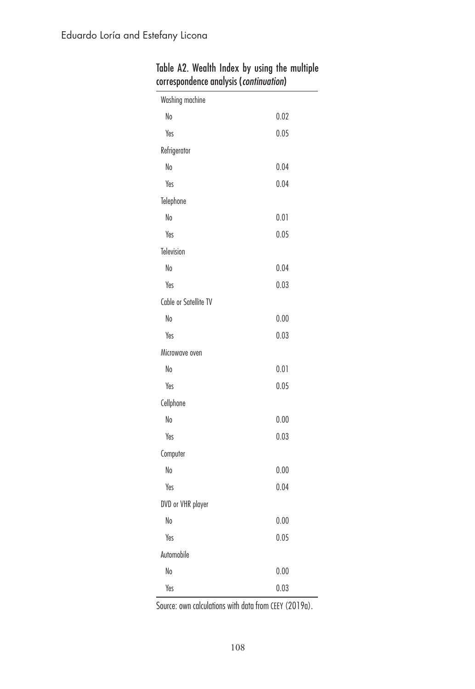| Washing machine       |      |
|-----------------------|------|
| No                    | 0.02 |
| Yes                   | 0.05 |
| Refrigerator          |      |
| No                    | 0.04 |
| Yes                   | 0.04 |
| Telephone             |      |
| No                    | 0.01 |
| Yes                   | 0.05 |
| Television            |      |
| No                    | 0.04 |
| Yes                   | 0.03 |
| Cable or Satellite TV |      |
| No                    | 0.00 |
| Yes                   | 0.03 |
| Microwave oven        |      |
| No                    | 0.01 |
| Yes                   | 0.05 |
| Cellphone             |      |
| No                    | 0.00 |
| Yes                   | 0.03 |
| Computer              |      |
| No                    | 0.00 |
| Yes                   | 0.04 |
| DVD or VHR player     |      |
| No                    | 0.00 |
| Yes                   | 0.05 |
| Automobile            |      |
| No                    | 0.00 |
| Yes                   | 0.03 |

| Table A2. Wealth Index by using the multiple |  |  |  |
|----------------------------------------------|--|--|--|
| correspondence analysis (continuation)       |  |  |  |

Source: own calculations with data from CEEY (2019a).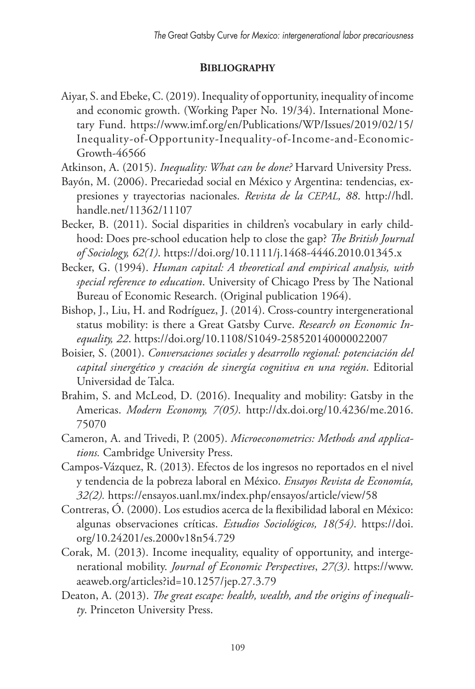# **Bibliography**

Aiyar, S. and Ebeke, C. (2019). Inequality of opportunity, inequality of income and economic growth. (Working Paper No. 19/34). International Monetary Fund. https://www.imf.org/en/Publications/WP/Issues/2019/02/15/ Inequality-of-Opportunity-Inequality-of-Income-and-Economic-Growth-46566

Atkinson, A. (2015). *Inequality: What can be done?* Harvard University Press.

- Bayón, M. (2006). Precariedad social en México y Argentina: tendencias, expresiones y trayectorias nacionales. *Revista de la CEPAL, 88*. http://hdl. handle.net/11362/11107
- Becker, B. (2011). Social disparities in children's vocabulary in early childhood: Does pre-school education help to close the gap? *The British Journal of Sociology, 62(1)*. https://doi.org/10.1111/j.1468-4446.2010.01345.x
- Becker, G. (1994). *Human capital: A theoretical and empirical analysis, with special reference to education*. University of Chicago Press by The National Bureau of Economic Research. (Original publication 1964).
- Bishop, J., Liu, H. and Rodríguez, J. (2014). Cross-country intergenerational status mobility: is there a Great Gatsby Curve. *Research on Economic Inequality, 22*. https://doi.org/10.1108/S1049-258520140000022007
- Boisier, S. (2001). *Conversaciones sociales y desarrollo regional: potenciación del capital sinergético y creación de sinergía cognitiva en una región*. Editorial Universidad de Talca.
- Brahim, S. and McLeod, D. (2016). Inequality and mobility: Gatsby in the Americas. *Modern Economy, 7(05)*. http://dx.doi.org/10.4236/me.2016. 75070
- Cameron, A. and Trivedi, P. (2005). *Microeconometrics: Methods and applications.* Cambridge University Press.
- Campos-Vázquez, R. (2013). Efectos de los ingresos no reportados en el nivel y tendencia de la pobreza laboral en México. *Ensayos Revista de Economía, 32(2).* https://ensayos.uanl.mx/index.php/ensayos/article/view/58
- Contreras, Ó. (2000). Los estudios acerca de la flexibilidad laboral en México: algunas observaciones críticas. *Estudios Sociológicos, 18(54)*. https://doi. org/10.24201/es.2000v18n54.729
- Corak, M. (2013). Income inequality, equality of opportunity, and intergenerational mobility. *Journal of Economic Perspectives*, *27(3)*. https://www. aeaweb.org/articles?id=10.1257/jep.27.3.79
- Deaton, A. (2013). *The great escape: health, wealth, and the origins of inequality*. Princeton University Press.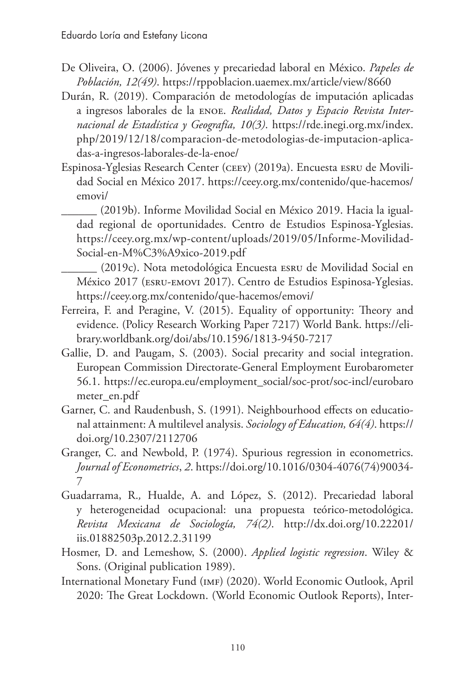- De Oliveira, O. (2006). Jóvenes y precariedad laboral en México. *Papeles de Población, 12(49)*. https://rppoblacion.uaemex.mx/article/view/8660
- Durán, R. (2019). Comparación de metodologías de imputación aplicadas a ingresos laborales de la ENOE. *Realidad, Datos y Espacio Revista Internacional de Estadística y Geografía, 10(3)*. https://rde.inegi.org.mx/index. php/2019/12/18/comparacion-de-metodologias-de-imputacion-aplicadas-a-ingresos-laborales-de-la-enoe/
- Espinosa-Yglesias Research Center (CEEY) (2019a). Encuesta ESRU de Movilidad Social en México 2017. https://ceey.org.mx/contenido/que-hacemos/ emovi/

\_\_\_\_\_\_ (2019b). Informe Movilidad Social en México 2019. Hacia la igualdad regional de oportunidades. Centro de Estudios Espinosa-Yglesias. https://ceey.org.mx/wp-content/uploads/2019/05/Informe-Movilidad-Social-en-M%C3%A9xico-2019.pdf

\_\_\_\_\_\_ (2019c). Nota metodológica Encuesta ESRU de Movilidad Social en México 2017 (ESRU-EMOVI 2017). Centro de Estudios Espinosa-Yglesias. https://ceey.org.mx/contenido/que-hacemos/emovi/

- Ferreira, F. and Peragine, V. (2015). Equality of opportunity: Theory and evidence. (Policy Research Working Paper 7217) World Bank. https://elibrary.worldbank.org/doi/abs/10.1596/1813-9450-7217
- Gallie, D. and Paugam, S. (2003). Social precarity and social integration. European Commission Directorate-General Employment Eurobarometer 56.1. https://ec.europa.eu/employment\_social/soc-prot/soc-incl/eurobaro meter\_en.pdf
- Garner, C. and Raudenbush, S. (1991). Neighbourhood effects on educational attainment: A multilevel analysis. *Sociology of Education, 64(4)*. https:// doi.org/10.2307/2112706
- Granger, C. and Newbold, P. (1974). Spurious regression in econometrics. *Journal of Econometrics*, *2*. https://doi.org/10.1016/0304-4076(74)90034- 7
- Guadarrama, R.*,* Hualde, A. and López, S. (2012). Precariedad laboral y heterogeneidad ocupacional: una propuesta teórico-metodológica. *Revista Mexicana de Sociología, 74(2)*. http://dx.doi.org/10.22201/ iis.01882503p.2012.2.31199
- Hosmer, D. and Lemeshow, S. (2000). *Applied logistic regression*. Wiley & Sons. (Original publication 1989).
- International Monetary Fund (IMF) (2020). World Economic Outlook, April 2020: The Great Lockdown. (World Economic Outlook Reports), Inter-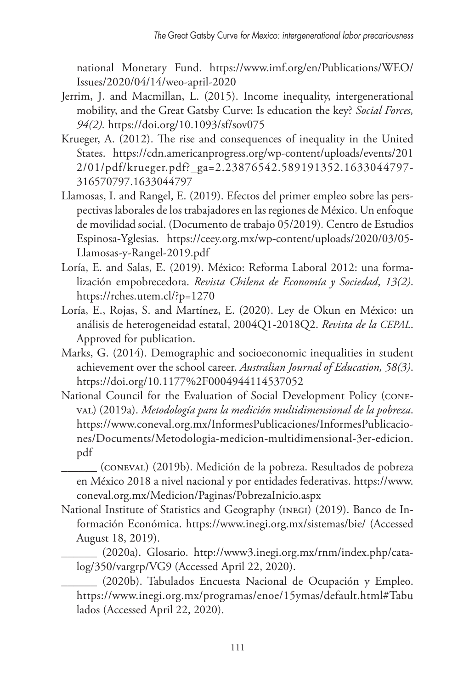national Monetary Fund. https://www.imf.org/en/Publications/WEO/ Issues/2020/04/14/weo-april-2020

- Jerrim, J. and Macmillan, L. (2015). Income inequality, intergenerational mobility, and the Great Gatsby Curve: Is education the key? *Social Forces, 94(2).* https://doi.org/10.1093/sf/sov075
- Krueger, A. (2012). The rise and consequences of inequality in the United States. https://cdn.americanprogress.org/wp-content/uploads/events/201 2/01/pdf/krueger.pdf?\_ga=2.23876542.589191352.1633044797- 316570797.1633044797
- Llamosas, I. and Rangel, E. (2019). Efectos del primer empleo sobre las perspectivas laborales de los trabajadores en las regiones de México. Un enfoque de movilidad social. (Documento de trabajo 05/2019)*.* Centro de Estudios Espinosa-Yglesias. https://ceey.org.mx/wp-content/uploads/2020/03/05- Llamosas-y-Rangel-2019.pdf
- Loría, E. and Salas, E. (2019). México: Reforma Laboral 2012: una formalización empobrecedora. *Revista Chilena de Economía y Sociedad*, *13(2)*. https://rches.utem.cl/?p=1270
- Loría, E., Rojas, S. and Martínez, E. (2020). Ley de Okun en México: un análisis de heterogeneidad estatal, 2004Q1-2018Q2. *Revista de la CEPAL*. Approved for publication.
- Marks, G. (2014). Demographic and socioeconomic inequalities in student achievement over the school career. *Australian Journal of Education, 58(3)*. https://doi.org/10.1177%2F0004944114537052
- National Council for the Evaluation of Social Development Policy (CONE-VAL) (2019a). *Metodología para la medición multidimensional de la pobreza*. https://www.coneval.org.mx/InformesPublicaciones/InformesPublicaciones/Documents/Metodologia-medicion-multidimensional-3er-edicion. pdf
	- \_\_\_\_\_\_ (CONEVAL) (2019b). Medición de la pobreza. Resultados de pobreza en México 2018 a nivel nacional y por entidades federativas. https://www. coneval.org.mx/Medicion/Paginas/PobrezaInicio.aspx
- National Institute of Statistics and Geography (INEGI) (2019). Banco de Información Económica. https://www.inegi.org.mx/sistemas/bie/ (Accessed August 18, 2019).
	- \_\_\_\_\_\_ (2020a). Glosario. http://www3.inegi.org.mx/rnm/index.php/catalog/350/vargrp/VG9 (Accessed April 22, 2020).
	- \_\_\_\_\_\_ (2020b). Tabulados Encuesta Nacional de Ocupación y Empleo. https://www.inegi.org.mx/programas/enoe/15ymas/default.html#Tabu lados (Accessed April 22, 2020).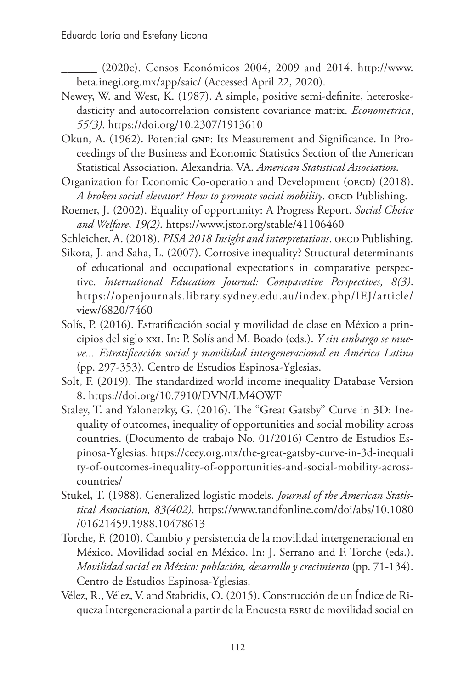\_\_\_\_\_\_ (2020c). Censos Económicos 2004, 2009 and 2014. http://www. beta.inegi.org.mx/app/saic/ (Accessed April 22, 2020).

- Newey, W. and West, K. (1987). A simple, positive semi-definite, heteroskedasticity and autocorrelation consistent covariance matrix. *Econometrica*, *55(3)*. https://doi.org/10.2307/1913610
- Okun, A. (1962). Potential GNP: Its Measurement and Significance. In Proceedings of the Business and Economic Statistics Section of the American Statistical Association. Alexandria, VA. *American Statistical Association*.
- Organization for Economic Co-operation and Development (OECD) (2018). *A broken social elevator? How to promote social mobility*. OECD Publishing.
- Roemer, J. (2002). Equality of opportunity: A Progress Report. *Social Choice and Welfare*, *19(2)*. https://www.jstor.org/stable/41106460
- Schleicher, A. (2018). *PISA 2018 Insight and interpretations*. OECD Publishing.
- Sikora, J. and Saha, L. (2007). Corrosive inequality? Structural determinants of educational and occupational expectations in comparative perspective. *International Education Journal: Comparative Perspectives, 8(3)*. https://openjournals.library.sydney.edu.au/index.php/IEJ/article/ view/6820/7460
- Solís, P. (2016). Estratificación social y movilidad de clase en México a principios del siglo XXI. In: P. Solís and M. Boado (eds.). *Y sin embargo se mueve... Estratificación social y movilidad intergeneracional en América Latina* (pp. 297-353). Centro de Estudios Espinosa-Yglesias.
- Solt, F. (2019). The standardized world income inequality Database Version 8. https://doi.org/10.7910/DVN/LM4OWF
- Staley, T. and Yalonetzky, G. (2016). The "Great Gatsby" Curve in 3D: Inequality of outcomes, inequality of opportunities and social mobility across countries. (Documento de trabajo No. 01/2016) Centro de Estudios Espinosa-Yglesias. https://ceey.org.mx/the-great-gatsby-curve-in-3d-inequali ty-of-outcomes-inequality-of-opportunities-and-social-mobility-acrosscountries/
- Stukel, T. (1988). Generalized logistic models. *Journal of the American Statistical Association, 83(402)*. https://www.tandfonline.com/doi/abs/10.1080 /01621459.1988.10478613
- Torche, F. (2010). Cambio y persistencia de la movilidad intergeneracional en México. Movilidad social en México. In: J. Serrano and F. Torche (eds.). *Movilidad social en México: población, desarrollo y crecimiento* (pp. 71-134). Centro de Estudios Espinosa-Yglesias.
- Vélez, R., Vélez, V. and Stabridis, O. (2015). Construcción de un Índice de Riqueza Intergeneracional a partir de la Encuesta ESRU de movilidad social en